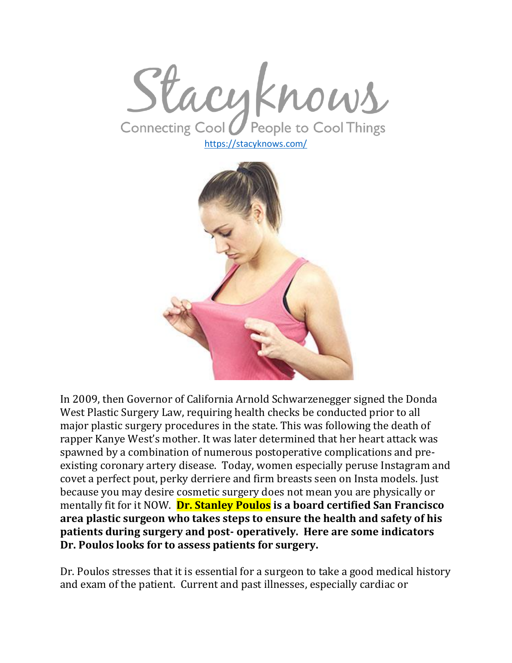Stacyknows Connecting Cool People to Cool Things

<https://stacyknows.com/>



In 2009, then Governor of California Arnold Schwarzenegger signed the Donda West Plastic Surgery Law, requiring health checks be conducted prior to all major plastic surgery procedures in the state. This was following the death of rapper Kanye West's mother. It was later determined that her heart attack was spawned by a combination of numerous postoperative complications and preexisting coronary artery disease. Today, women especially peruse Instagram and covet a perfect pout, perky derriere and firm breasts seen on Insta models. Just because you may desire cosmetic surgery does not mean you are physically or mentally fit for it NOW. **Dr. Stanley Poulos is a board certified San Francisco area plastic surgeon who takes steps to ensure the health and safety of his patients during surgery and post- operatively. Here are some indicators Dr. Poulos looks for to assess patients for surgery.**

Dr. Poulos stresses that it is essential for a surgeon to take a good medical history and exam of the patient. Current and past illnesses, especially cardiac or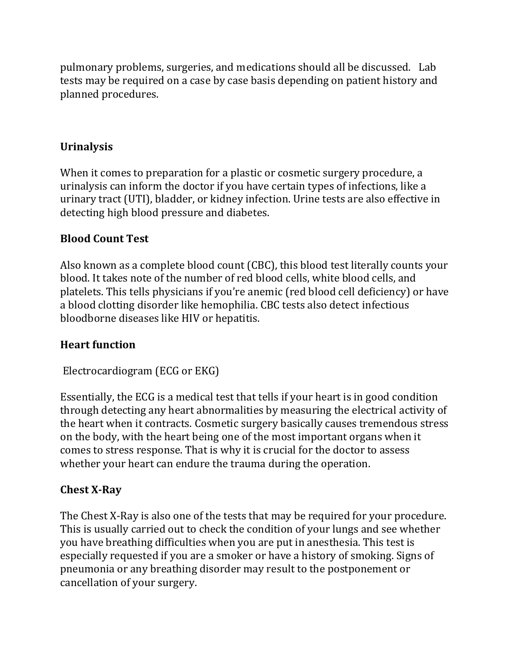pulmonary problems, surgeries, and medications should all be discussed. Lab tests may be required on a case by case basis depending on patient history and planned procedures.

# **Urinalysis**

When it comes to preparation for a plastic or cosmetic surgery procedure, a urinalysis can inform the doctor if you have certain types of infections, like a urinary tract (UTI), bladder, or kidney infection. Urine tests are also effective in detecting high blood pressure and diabetes.

## **Blood Count Test**

Also known as a complete blood count (CBC), this blood test literally counts your blood. It takes note of the number of red blood cells, white blood cells, and platelets. This tells physicians if you're anemic (red blood cell deficiency) or have a blood clotting disorder like hemophilia. CBC tests also detect infectious bloodborne diseases like HIV or hepatitis.

### **Heart function**

Electrocardiogram (ECG or EKG)

Essentially, the ECG is a medical test that tells if your heart is in good condition through detecting any heart abnormalities by measuring the electrical activity of the heart when it contracts. Cosmetic surgery basically causes tremendous stress on the body, with the heart being one of the most important organs when it comes to stress response. That is why it is crucial for the doctor to assess whether your heart can endure the trauma during the operation.

### **Chest X-Ray**

The Chest X-Ray is also one of the tests that may be required for your procedure. This is usually carried out to check the condition of your lungs and see whether you have breathing difficulties when you are put in anesthesia. This test is especially requested if you are a smoker or have a history of smoking. Signs of pneumonia or any breathing disorder may result to the postponement or cancellation of your surgery.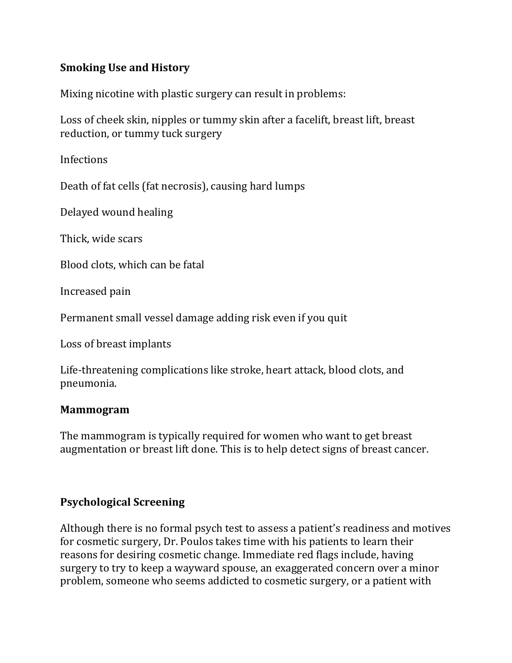## **Smoking Use and History**

Mixing nicotine with plastic surgery can result in problems:

Loss of cheek skin, nipples or tummy skin after a facelift, breast lift, breast reduction, or tummy tuck surgery

Infections

Death of fat cells (fat necrosis), causing hard lumps

Delayed wound healing

Thick, wide scars

Blood clots, which can be fatal

Increased pain

Permanent small vessel damage adding risk even if you quit

Loss of breast implants

Life-threatening complications like stroke, heart attack, blood clots, and pneumonia.

#### **Mammogram**

The mammogram is typically required for women who want to get breast augmentation or breast lift done. This is to help detect signs of breast cancer.

### **Psychological Screening**

Although there is no formal psych test to assess a patient's readiness and motives for cosmetic surgery, Dr. Poulos takes time with his patients to learn their reasons for desiring cosmetic change. Immediate red flags include, having surgery to try to keep a wayward spouse, an exaggerated concern over a minor problem, someone who seems addicted to cosmetic surgery, or a patient with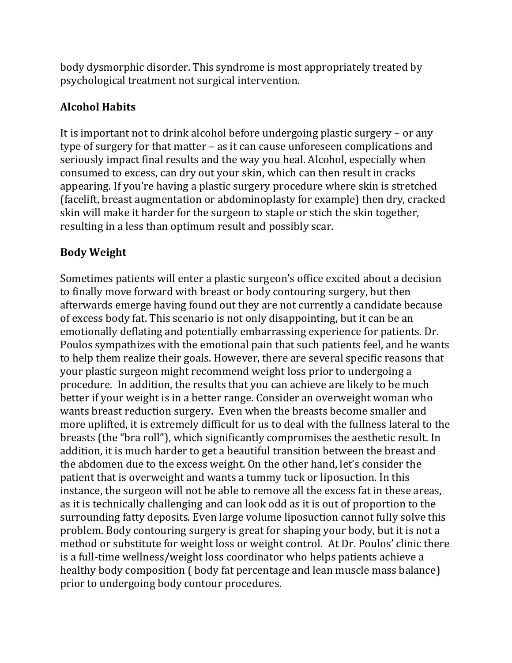body dysmorphic disorder. This syndrome is most appropriately treated by psychological treatment not surgical intervention.

# **Alcohol Habits**

It is important not to drink alcohol before undergoing plastic surgery – or any type of surgery for that matter – as it can cause unforeseen complications and seriously impact final results and the way you heal. Alcohol, especially when consumed to excess, can dry out your skin, which can then result in cracks appearing. If you're having a plastic surgery procedure where skin is stretched (facelift, breast augmentation or abdominoplasty for example) then dry, cracked skin will make it harder for the surgeon to staple or stich the skin together, resulting in a less than optimum result and possibly scar.

# **Body Weight**

Sometimes patients will enter a plastic surgeon's office excited about a decision to finally move forward with breast or body contouring surgery, but then afterwards emerge having found out they are not currently a candidate because of excess body fat. This scenario is not only disappointing, but it can be an emotionally deflating and potentially embarrassing experience for patients. Dr. Poulos sympathizes with the emotional pain that such patients feel, and he wants to help them realize their goals. However, there are several specific reasons that your plastic surgeon might recommend weight loss prior to undergoing a procedure. In addition, the results that you can achieve are likely to be much better if your weight is in a better range. Consider an overweight woman who wants breast reduction surgery. Even when the breasts become smaller and more uplifted, it is extremely difficult for us to deal with the fullness lateral to the breasts (the "bra roll"), which significantly compromises the aesthetic result. In addition, it is much harder to get a beautiful transition between the breast and the abdomen due to the excess weight. On the other hand, let's consider the patient that is overweight and wants a tummy tuck or liposuction. In this instance, the surgeon will not be able to remove all the excess fat in these areas, as it is technically challenging and can look odd as it is out of proportion to the surrounding fatty deposits. Even large volume liposuction cannot fully solve this problem. Body contouring surgery is great for shaping your body, but it is not a method or substitute for weight loss or weight control. At Dr. Poulos' clinic there is a full-time wellness/weight loss coordinator who helps patients achieve a healthy body composition ( body fat percentage and lean muscle mass balance) prior to undergoing body contour procedures.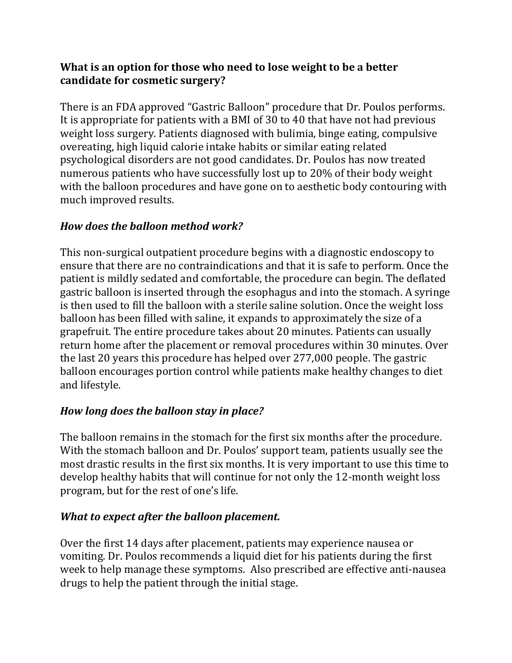### **What is an option for those who need to lose weight to be a better candidate for cosmetic surgery?**

There is an FDA approved "Gastric Balloon" procedure that Dr. Poulos performs. It is appropriate for patients with a BMI of 30 to 40 that have not had previous weight loss surgery. Patients diagnosed with bulimia, binge eating, compulsive overeating, high liquid calorie intake habits or similar eating related psychological disorders are not good candidates. Dr. Poulos has now treated numerous patients who have successfully lost up to 20% of their body weight with the balloon procedures and have gone on to aesthetic body contouring with much improved results.

## *How does the balloon method work?*

This non-surgical outpatient procedure begins with a diagnostic endoscopy to ensure that there are no contraindications and that it is safe to perform. Once the patient is mildly sedated and comfortable, the procedure can begin. The deflated gastric balloon is inserted through the esophagus and into the stomach. A syringe is then used to fill the balloon with a sterile saline solution. Once the weight loss balloon has been filled with saline, it expands to approximately the size of a grapefruit. The entire procedure takes about 20 minutes. Patients can usually return home after the placement or removal procedures within 30 minutes. Over the last 20 years this procedure has helped over 277,000 people. The gastric balloon encourages portion control while patients make healthy changes to diet and lifestyle.

# *How long does the balloon stay in place?*

The balloon remains in the stomach for the first six months after the procedure. With the stomach balloon and Dr. Poulos' support team, patients usually see the most drastic results in the first six months. It is very important to use this time to develop healthy habits that will continue for not only the 12-month weight loss program, but for the rest of one's life.

### *What to expect after the balloon placement.*

Over the first 14 days after placement, patients may experience nausea or vomiting. Dr. Poulos recommends a liquid diet for his patients during the first week to help manage these symptoms. Also prescribed are effective anti-nausea drugs to help the patient through the initial stage.